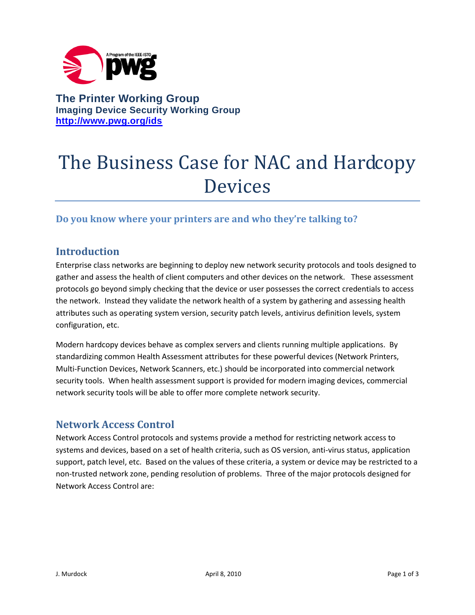

**The Printer Working Group Imaging Device Security Working Group <http://www.pwg.org/ids>**

# The Business Case for NAC and Hardcopy Devices

# **Do you know where your printers are and who they're talking to?**

# **Introduction**

Enterprise class networks are beginning to deploy new network security protocols and tools designed to gather and assess the health of client computers and other devices on the network. These assessment protocols go beyond simply checking that the device or user possesses the correct credentials to access the network. Instead they validate the network health of a system by gathering and assessing health attributes such as operating system version, security patch levels, antivirus definition levels, system configuration, etc.

Modern hardcopy devices behave as complex servers and clients running multiple applications. By standardizing common Health Assessment attributes for these powerful devices (Network Printers, Multi-Function Devices, Network Scanners, etc.) should be incorporated into commercial network security tools. When health assessment support is provided for modern imaging devices, commercial network security tools will be able to offer more complete network security.

## **Network Access Control**

Network Access Control protocols and systems provide a method for restricting network access to systems and devices, based on a set of health criteria, such as OS version, anti-virus status, application support, patch level, etc. Based on the values of these criteria, a system or device may be restricted to a non-trusted network zone, pending resolution of problems. Three of the major protocols designed for Network Access Control are: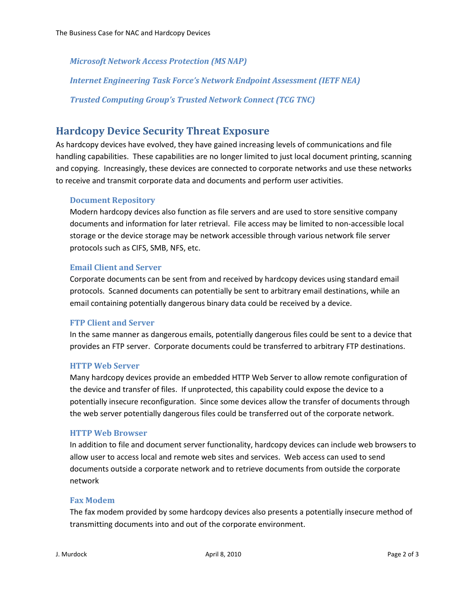*Microsoft Network Access Protection (MS NAP)*

*Internet Engineering Task Force's Network Endpoint Assessment (IETF NEA)*

*Trusted Computing Group's Trusted Network Connect (TCG TNC)*

# **Hardcopy Device Security Threat Exposure**

As hardcopy devices have evolved, they have gained increasing levels of communications and file handling capabilities. These capabilities are no longer limited to just local document printing, scanning and copying. Increasingly, these devices are connected to corporate networks and use these networks to receive and transmit corporate data and documents and perform user activities.

#### **Document Repository**

Modern hardcopy devices also function as file servers and are used to store sensitive company documents and information for later retrieval. File access may be limited to non-accessible local storage or the device storage may be network accessible through various network file server protocols such as CIFS, SMB, NFS, etc.

#### **Email Client and Server**

Corporate documents can be sent from and received by hardcopy devices using standard email protocols. Scanned documents can potentially be sent to arbitrary email destinations, while an email containing potentially dangerous binary data could be received by a device.

#### **FTP Client and Server**

In the same manner as dangerous emails, potentially dangerous files could be sent to a device that provides an FTP server. Corporate documents could be transferred to arbitrary FTP destinations.

#### **HTTP Web Server**

Many hardcopy devices provide an embedded HTTP Web Server to allow remote configuration of the device and transfer of files. If unprotected, this capability could expose the device to a potentially insecure reconfiguration. Since some devices allow the transfer of documents through the web server potentially dangerous files could be transferred out of the corporate network.

#### **HTTP Web Browser**

In addition to file and document server functionality, hardcopy devices can include web browsers to allow user to access local and remote web sites and services. Web access can used to send documents outside a corporate network and to retrieve documents from outside the corporate network

#### **Fax Modem**

The fax modem provided by some hardcopy devices also presents a potentially insecure method of transmitting documents into and out of the corporate environment.